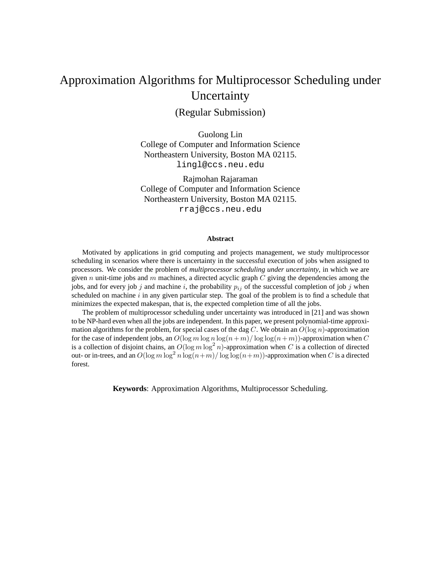# Approximation Algorithms for Multiprocessor Scheduling under Uncertainty

(Regular Submission)

Guolong Lin College of Computer and Information Science Northeastern University, Boston MA 02115. lingl@ccs.neu.edu

Rajmohan Rajaraman College of Computer and Information Science Northeastern University, Boston MA 02115. rraj@ccs.neu.edu

#### **Abstract**

Motivated by applications in grid computing and projects management, we study multiprocessor scheduling in scenarios where there is uncertainty in the successful execution of jobs when assigned to processors. We consider the problem of *multiprocessor scheduling under uncertainty*, in which we are given n unit-time jobs and m machines, a directed acyclic graph  $C$  giving the dependencies among the jobs, and for every job j and machine i, the probability  $p_{ij}$  of the successful completion of job j when scheduled on machine  $i$  in any given particular step. The goal of the problem is to find a schedule that minimizes the expected makespan, that is, the expected completion time of all the jobs.

The problem of multiprocessor scheduling under uncertainty was introduced in [21] and was shown to be NP-hard even when all the jobs are independent. In this paper, we present polynomial-time approximation algorithms for the problem, for special cases of the dag C. We obtain an  $O(\log n)$ -approximation for the case of independent jobs, an  $O(\log m \log n \log(n+m)/\log \log(n+m))$ -approximation when C is a collection of disjoint chains, an  $O(\log m \log^2 n)$ -approximation when C is a collection of directed out- or in-trees, and an  $O(\log m \log^2 n \log(n+m)/\log \log(n+m))$ -approximation when C is a directed forest.

**Keywords**: Approximation Algorithms, Multiprocessor Scheduling.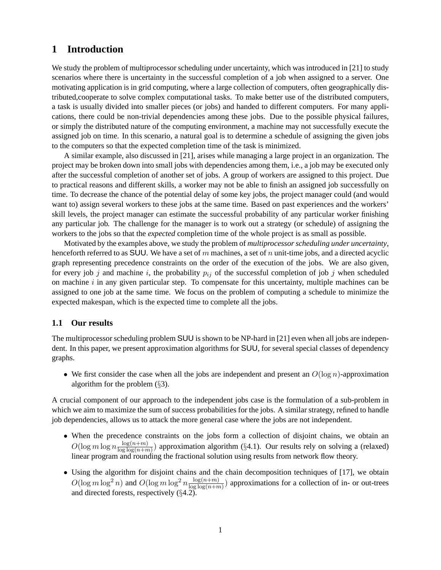# **1 Introduction**

We study the problem of multiprocessor scheduling under uncertainty, which was introduced in [21] to study scenarios where there is uncertainty in the successful completion of a job when assigned to a server. One motivating application is in grid computing, where a large collection of computers, often geographically distributed,cooperate to solve complex computational tasks. To make better use of the distributed computers, a task is usually divided into smaller pieces (or jobs) and handed to different computers. For many applications, there could be non-trivial dependencies among these jobs. Due to the possible physical failures, or simply the distributed nature of the computing environment, a machine may not successfully execute the assigned job on time. In this scenario, a natural goal is to determine a schedule of assigning the given jobs to the computers so that the expected completion time of the task is minimized.

A similar example, also discussed in [21], arises while managing a large project in an organization. The project may be broken down into small jobs with dependencies among them, i.e., a job may be executed only after the successful completion of another set of jobs. A group of workers are assigned to this project. Due to practical reasons and different skills, a worker may not be able to finish an assigned job successfully on time. To decrease the chance of the potential delay of some key jobs, the project manager could (and would want to) assign several workers to these jobs at the same time. Based on past experiences and the workers' skill levels, the project manager can estimate the successful probability of any particular worker finishing any particular job. The challenge for the manager is to work out a strategy (or schedule) of assigning the workers to the jobs so that the *expected* completion time of the whole project is as small as possible.

Motivated by the examples above, we study the problem of *multiprocessor scheduling under uncertainty*, henceforth referred to as SUU. We have a set of m machines, a set of n unit-time jobs, and a directed acyclic graph representing precedence constraints on the order of the execution of the jobs. We are also given, for every job j and machine i, the probability  $p_{ij}$  of the successful completion of job j when scheduled on machine  $i$  in any given particular step. To compensate for this uncertainty, multiple machines can be assigned to one job at the same time. We focus on the problem of computing a schedule to minimize the expected makespan, which is the expected time to complete all the jobs.

#### **1.1 Our results**

The multiprocessor scheduling problem SUU is shown to be NP-hard in [21] even when all jobs are independent. In this paper, we present approximation algorithms for SUU, for several special classes of dependency graphs.

• We first consider the case when all the jobs are independent and present an  $O(\log n)$ -approximation algorithm for the problem (§3).

A crucial component of our approach to the independent jobs case is the formulation of a sub-problem in which we aim to maximize the sum of success probabilities for the jobs. A similar strategy, refined to handle job dependencies, allows us to attack the more general case where the jobs are not independent.

- When the precedence constraints on the jobs form a collection of disjoint chains, we obtain an  $O(\log m \log n \frac{\log(n+m)}{\log\log(n+m)})$  $\frac{\log(n+m)}{\log\log(n+m)}$ ) approximation algorithm (§4.1). Our results rely on solving a (relaxed) linear program and rounding the fractional solution using results from network flow theory.
- Using the algorithm for disjoint chains and the chain decomposition techniques of [17], we obtain  $O(\log m \log^2 n)$  and  $O(\log m \log^2 n \frac{\log(n+m)}{\log \log(n+m)}$  $\frac{\log(n+m)}{\log\log(n+m)}$ ) approximations for a collection of in- or out-trees and directed forests, respectively  $(\S4.2)$ .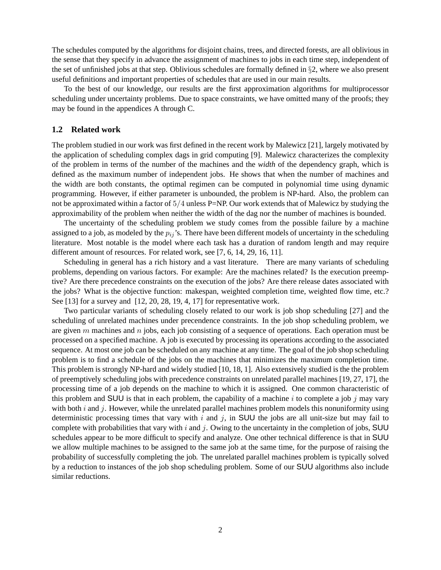The schedules computed by the algorithms for disjoint chains, trees, and directed forests, are all oblivious in the sense that they specify in advance the assignment of machines to jobs in each time step, independent of the set of unfinished jobs at that step. Oblivious schedules are formally defined in §2, where we also present useful definitions and important properties of schedules that are used in our main results.

To the best of our knowledge, our results are the first approximation algorithms for multiprocessor scheduling under uncertainty problems. Due to space constraints, we have omitted many of the proofs; they may be found in the appendices A through C.

#### **1.2 Related work**

The problem studied in our work was first defined in the recent work by Malewicz [21], largely motivated by the application of scheduling complex dags in grid computing [9]. Malewicz characterizes the complexity of the problem in terms of the number of the machines and the *width* of the dependency graph, which is defined as the maximum number of independent jobs. He shows that when the number of machines and the width are both constants, the optimal regimen can be computed in polynomial time using dynamic programming. However, if either parameter is unbounded, the problem is NP-hard. Also, the problem can not be approximated within a factor of  $5/4$  unless P=NP. Our work extends that of Malewicz by studying the approximability of the problem when neither the width of the dag nor the number of machines is bounded.

The uncertainty of the scheduling problem we study comes from the possible failure by a machine assigned to a job, as modeled by the  $p_{ij}$ 's. There have been different models of uncertainty in the scheduling literature. Most notable is the model where each task has a duration of random length and may require different amount of resources. For related work, see [7, 6, 14, 29, 16, 11].

Scheduling in general has a rich history and a vast literature. There are many variants of scheduling problems, depending on various factors. For example: Are the machines related? Is the execution preemptive? Are there precedence constraints on the execution of the jobs? Are there release dates associated with the jobs? What is the objective function: makespan, weighted completion time, weighted flow time, etc.? See [13] for a survey and [12, 20, 28, 19, 4, 17] for representative work.

Two particular variants of scheduling closely related to our work is job shop scheduling [27] and the scheduling of unrelated machines under precendence constraints. In the job shop scheduling problem, we are given  $m$  machines and  $n$  jobs, each job consisting of a sequence of operations. Each operation must be processed on a specified machine. A job is executed by processing its operations according to the associated sequence. At most one job can be scheduled on any machine at any time. The goal of the job shop scheduling problem is to find a schedule of the jobs on the machines that minimizes the maximum completion time. This problem is strongly NP-hard and widely studied [10, 18, 1]. Also extensively studied is the the problem of preemptively scheduling jobs with precedence constraints on unrelated parallel machines [19, 27, 17], the processing time of a job depends on the machine to which it is assigned. One common characteristic of this problem and SUU is that in each problem, the capability of a machine i to complete a job j may vary with both  $i$  and  $j$ . However, while the unrelated parallel machines problem models this nonuniformity using deterministic processing times that vary with i and j, in SUU the jobs are all unit-size but may fail to complete with probabilities that vary with i and j. Owing to the uncertainty in the completion of jobs, SUU schedules appear to be more difficult to specify and analyze. One other technical difference is that in SUU we allow multiple machines to be assigned to the same job at the same time, for the purpose of raising the probability of successfully completing the job. The unrelated parallel machines problem is typically solved by a reduction to instances of the job shop scheduling problem. Some of our SUU algorithms also include similar reductions.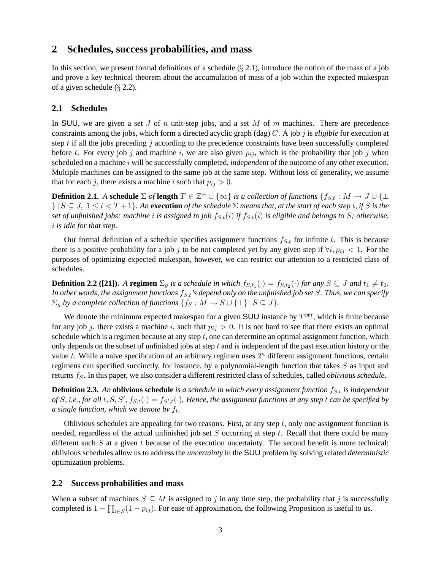### **2 Schedules, success probabilities, and mass**

In this section, we present formal definitions of a schedule  $(\S 2.1)$ , introduce the notion of the mass of a job and prove a key technical theorem about the accumulation of mass of a job within the expected makespan of a given schedule (§ 2.2).

### **2.1 Schedules**

In SUU, we are given a set J of n unit-step jobs, and a set M of m machines. There are precedence constraints among the jobs, which form a directed acyclic graph (dag) C. A job j is *eligible* for execution at step t if all the jobs preceding j according to the precedence constraints have been successfully completed before t. For every job j and machine i, we are also given  $p_{ij}$ , which is the probability that job j when scheduled on a machine i will be successfully completed, *independent* of the outcome of any other execution. Multiple machines can be assigned to the same job at the same step. Without loss of generality, we assume that for each j, there exists a machine i such that  $p_{ij} > 0$ .

**Definition 2.1.** *A* schedule  $\Sigma$  *of* length  $T \in \mathbb{Z}^+ \cup \{\infty\}$  *is a collection of functions*  $\{f_{S,t} : M \to J \cup \{\perp$  $\{ | S \subseteq J, 1 \le t < T + 1 \}$ . An **execution** of the schedule  $\Sigma$  means that, at the start of each step t, if S is the *set of unfinished jobs: machine i is assigned to job*  $f_{S,t}(i)$  *if*  $f_{S,t}(i)$  *is eligible and belongs to* S; otherwise, i *is idle for that step.*

Our formal definition of a schedule specifies assignment functions  $f_{S,t}$  for infinite t. This is because there is a positive probability for a job j to be not completed yet by any given step if  $\forall i, p_{ij} < 1$ . For the purposes of optimizing expected makespan, however, we can restrict our attention to a restricted class of schedules.

**Definition 2.2 ([21]).** A **regimen**  $\Sigma_g$  *is a schedule in which*  $f_{S,t_1}(\cdot) = f_{S,t_2}(\cdot)$  *for any*  $S \subseteq J$  *and*  $t_1 \neq t_2$ *.* In other words, the assignment functions  $f_{S,t}$ 's depend only on the unfinished job set  $S$ . Thus, we can specify  $\Sigma_q$  *by a complete collection of functions*  $\{f_S : M \to S \cup \{\perp\} \mid S \subseteq J\}.$ 

We denote the minimum expected makespan for a given SUU instance by  $T^{OPT}$ , which is finite because for any job j, there exists a machine i, such that  $p_{ij} > 0$ . It is not hard to see that there exists an optimal schedule which is a regimen because at any step  $t$ , one can determine an optimal assignment function, which only depends on the subset of unfinished jobs at step  $t$  and is independent of the past execution history or the value  $t$ . While a naive specification of an arbitrary regimen uses  $2<sup>n</sup>$  different assignment functions, certain regimens can specified succinctly, for instance, by a polynomial-length function that takes  $S$  as input and returns fs. In this paper, we also consider a different restricted class of schedules, called *oblivious schedule*.

**Definition 2.3.** An **oblivious schedule** *is a schedule in which every assignment function*  $f_{S,t}$  *is independent* of S, i.e., for all  $t, S, S', f_{S,t}(\cdot) = f_{S',t}(\cdot)$ . Hence, the assignment functions at any step t can be specified by a single function, which we denote by  $f_t$ .

Oblivious schedules are appealing for two reasons. First, at any step  $t$ , only one assignment function is needed, regardless of the actual unfinished job set  $S$  occurring at step  $t$ . Recall that there could be many different such  $S$  at a given t because of the execution uncertainty. The second benefit is more technical: oblivious schedules allow us to address the *uncertainty* in the SUU problem by solving related *deterministic* optimization problems.

#### **2.2 Success probabilities and mass**

When a subset of machines  $S \subseteq M$  is assigned to j in any time step, the probability that j is successfully completed is  $1 - \prod_{i \in S} (1 - p_{ij})$ . For ease of approximation, the following Proposition is useful to us.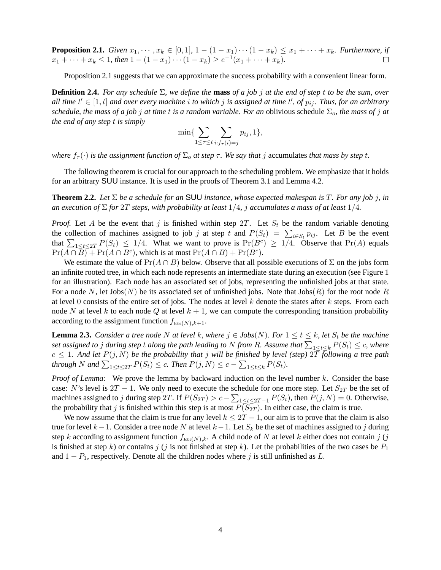**Proposition 2.1.** *Given*  $x_1, \dots, x_k \in [0, 1]$ ,  $1 - (1 - x_1) \cdots (1 - x_k) \le x_1 + \cdots + x_k$ *. Furthermore, if*  $x_1 + \cdots + x_k \leq 1$ , then  $1 - (1 - x_1) \cdots (1 - x_k) \geq e^{-1}(x_1 + \cdots + x_k)$ .  $\Box$ 

Proposition 2.1 suggests that we can approximate the success probability with a convenient linear form.

**Definition 2.4.** *For any schedule* Σ*, we define the* **mass** *of a job* j *at the end of step* t *to be the sum, over*  $all$  *time*  $t' \in [1, t]$  *and over every machine* i *to which* j *is assigned at time*  $t'$ , *of*  $p_{ij}$ . *Thus, for an arbitrary schedule, the mass of a job j at time t is a random variable. For an oblivious schedule*  $\Sigma_o$ *, the mass of j at the end of any step* t *is simply*

$$
\min\{\sum_{1\leq \tau\leq t}\sum_{i:f_{\tau}(i)=j}p_{ij},1\},\
$$

*where*  $f_{\tau}(\cdot)$  *is the assignment function of*  $\Sigma_o$  *at step*  $\tau$ *. We say that j* accumulates *that mass by step t.* 

The following theorem is crucial for our approach to the scheduling problem. We emphasize that it holds for an arbitrary SUU instance. It is used in the proofs of Theorem 3.1 and Lemma 4.2.

**Theorem 2.2.** *Let* Σ *be a schedule for an* SUU *instance, whose expected makespan is* T*. For any job* j*, in an execution of*  $\Sigma$  *for* 2T *steps, with probability at least*  $1/4$ *, j accumulates a mass of at least*  $1/4$ *.* 

*Proof.* Let A be the event that j is finished within step 2T. Let  $S_t$  be the random variable denoting the collection of machines assigned to job j at step t and  $P(S_t) = \sum_{i \in S_t} p_{ij}$ . Let B be the event that  $\sum_{1 \leq t \leq 2T} P(S_t) \leq 1/4$ . What we want to prove is  $Pr(B^c) \geq 1/4$ . Observe that  $Pr(A)$  equals  $Pr(A \cap \overline{B}) + Pr(A \cap B^c)$ , which is at most  $Pr(A \cap B) + Pr(B^c)$ .

We estimate the value of  $Pr(A \cap B)$  below. Observe that all possible executions of  $\Sigma$  on the jobs form an infinite rooted tree, in which each node represents an intermediate state during an execution (see Figure 1 for an illustration). Each node has an associated set of jobs, representing the unfinished jobs at that state. For a node N, let  $Jobs(N)$  be its associated set of unfinished jobs. Note that  $Jobs(R)$  for the root node R at level 0 consists of the entire set of jobs. The nodes at level k denote the states after k steps. From each node N at level k to each node Q at level  $k + 1$ , we can compute the corresponding transition probability according to the assignment function  $f_{\text{Jobs}(N),k+1}$ .

**Lemma 2.3.** *Consider a tree node* N *at level* k, where  $j \in Jobs(N)$ *. For*  $1 \le t \le k$ *, let*  $S_t$  *be the machine* set assigned to  $j$  during step  $t$  along the path leading to  $N$  from  $R$ . Assume that  $\sum_{1\leq t\leq k}P(S_t)\leq c$ , where  $c \leq 1$ . And let  $P(j, N)$  be the probability that j will be finished by level (step) 2T following a tree path *through* N and  $\sum_{1 \leq t \leq 2T} P(S_t) \leq c$ . Then  $P(j, N) \leq c - \sum_{1 \leq t \leq k} P(S_t)$ .

*Proof of Lemma:* We prove the lemma by backward induction on the level number k. Consider the base case: N's level is  $2T - 1$ . We only need to execute the schedule for one more step. Let  $S_{2T}$  be the set of machines assigned to j during step 2T. If  $P(S_{2T}) > c - \sum_{1 \le t \le 2T-1} P(S_t)$ , then  $P(j, N) = 0$ . Otherwise, the probability that j is finished within this step is at most  $P(S_{2T})$ . In either case, the claim is true.

We now assume that the claim is true for any level  $k \leq 2T - 1$ , our aim is to prove that the claim is also true for level  $k-1$ . Consider a tree node N at level  $k-1$ . Let  $S_k$  be the set of machines assigned to j during step k according to assignment function  $f_{\text{Jobs}(N),k}$ . A child node of N at level k either does not contain j (j is finished at step k) or contains j (j is not finished at step k). Let the probabilities of the two cases be  $P_1$ and  $1 - P_1$ , respectively. Denote all the children nodes where j is still unfinished as L.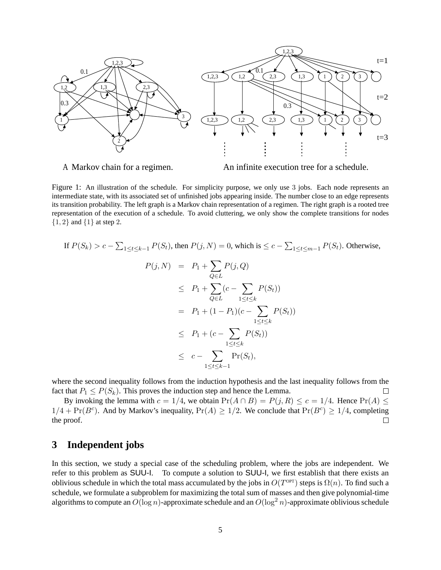

*A Markov chain for a regimen. An infinite execution tree for a schedule.*

Figure 1: An illustration of the schedule. For simplicity purpose, we only use 3 jobs. Each node represents an intermediate state, with its associated set of unfinished jobs appearing inside. The number close to an edge represents its transition probability. The left graph is a Markov chain representation of a regimen. The right graph is a rooted tree representation of the execution of a schedule. To avoid cluttering, we only show the complete transitions for nodes  ${1, 2}$  and  ${1}$  at step 2.

If 
$$
P(S_k) > c - \sum_{1 \le t \le k-1} P(S_t)
$$
, then  $P(j, N) = 0$ , which is  $\le c - \sum_{1 \le t \le m-1} P(S_t)$ . Otherwise,  
\n
$$
P(j, N) = P_1 + \sum_{Q \in L} P(j, Q)
$$
\n
$$
\le P_1 + \sum_{Q \in L} (c - \sum_{1 \le t \le k} P(S_t))
$$
\n
$$
= P_1 + (1 - P_1)(c - \sum_{1 \le t \le k} P(S_t))
$$
\n
$$
\le P_1 + (c - \sum_{1 \le t \le k} P(S_t))
$$
\n
$$
\le c - \sum_{1 \le t \le k-1} \Pr(S_t),
$$

where the second inequality follows from the induction hypothesis and the last inequality follows from the fact that  $P_1 \leq P(S_k)$ . This proves the induction step and hence the Lemma.  $\Box$ 

By invoking the lemma with  $c = 1/4$ , we obtain  $Pr(A \cap B) = P(j, R) \le c = 1/4$ . Hence  $Pr(A) \le$  $1/4 + \Pr(B^c)$ . And by Markov's inequality,  $\Pr(A) \ge 1/2$ . We conclude that  $\Pr(B^c) \ge 1/4$ , completing the proof.  $\Box$ 

# **3 Independent jobs**

In this section, we study a special case of the scheduling problem, where the jobs are independent. We refer to this problem as SUU-I. To compute a solution to SUU-I, we first establish that there exists an oblivious schedule in which the total mass accumulated by the jobs in  $O(T^{OPT})$  steps is  $\Omega(n)$ . To find such a schedule, we formulate a subproblem for maximizing the total sum of masses and then give polynomial-time algorithms to compute an  $O(\log n)$ -approximate schedule and an  $O(\log^2 n)$ -approximate oblivious schedule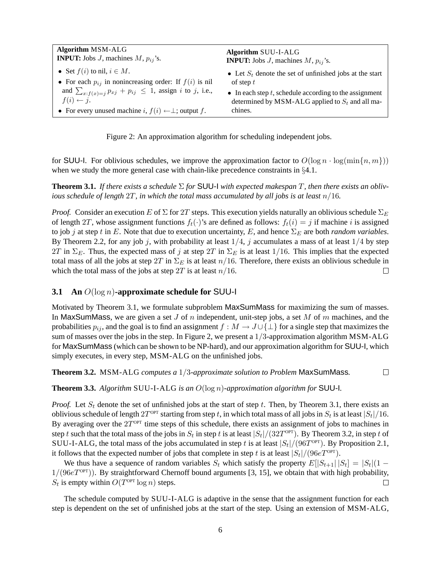| <b>Algorithm MSM-ALG</b>                                                            | <b>Algorithm SUU-I-ALG</b>                                     |
|-------------------------------------------------------------------------------------|----------------------------------------------------------------|
| <b>INPUT:</b> Jobs J, machines $M$ , $p_{ij}$ 's.                                   | <b>INPUT:</b> Jobs <i>J</i> , machines <i>M</i> , $p_{ij}$ 's. |
| • Set $f(i)$ to nil, $i \in M$ .                                                    | • Let $S_t$ denote the set of unfinished jobs at the start     |
| • For each $p_{ij}$ in nonincreasing order: If $f(i)$ is nil                        | of step $t$                                                    |
| and $\sum_{x:f(x)=i} p_{x,j} + p_{ij} \leq 1$ , assign <i>i</i> to <i>j</i> , i.e., | • In each step $t$ , schedule according to the assignment      |
| $f(i) \leftarrow j.$                                                                | determined by MSM-ALG applied to $S_t$ and all ma-             |
| • For every unused machine i, $f(i) \leftarrow \perp$ ; output f.                   | chines.                                                        |

Figure 2: An approximation algorithm for scheduling independent jobs.

for SUU-I. For oblivious schedules, we improve the approximation factor to  $O(\log n \cdot \log(\min\{n, m\}))$ when we study the more general case with chain-like precedence constraints in §4.1.

**Theorem 3.1.** If there exists a schedule  $\Sigma$  for SUU-I with expected makespan T, then there exists an obliv*ious schedule of length* 2T*, in which the total mass accumulated by all jobs is at least* n/16*.*

*Proof.* Consider an execution E of  $\Sigma$  for 2T steps. This execution yields naturally an oblivious schedule  $\Sigma_E$ of length 2T, whose assignment functions  $f_t(\cdot)$ 's are defined as follows:  $f_t(i) = j$  if machine i is assigned to job j at step t in E. Note that due to execution uncertainty, E, and hence  $\Sigma_E$  are both *random variables*. By Theorem 2.2, for any job j, with probability at least  $1/4$ , j accumulates a mass of at least  $1/4$  by step 2T in  $\Sigma_E$ . Thus, the expected mass of j at step 2T in  $\Sigma_E$  is at least 1/16. This implies that the expected total mass of all the jobs at step  $2T$  in  $\Sigma_E$  is at least  $n/16$ . Therefore, there exists an oblivious schedule in which the total mass of the jobs at step 2T is at least  $n/16$ .  $\Box$ 

#### **3.1 An** O(log n)**-approximate schedule for** SUU-I

Motivated by Theorem 3.1, we formulate subproblem MaxSumMass for maximizing the sum of masses. In MaxSumMass, we are given a set J of n independent, unit-step jobs, a set M of m machines, and the probabilities  $p_{ij}$ , and the goal is to find an assignment  $f : M \to J \cup \{\perp\}$  for a single step that maximizes the sum of masses over the jobs in the step. In Figure 2, we present a  $1/3$ -approximation algorithm MSM-ALG for MaxSumMass (which can be shown to be NP-hard), and our approximation algorithm for SUU-I, which simply executes, in every step, MSM-ALG on the unfinished jobs.

**Theorem 3.2.** MSM-ALG *computes a* 1/3*-approximate solution to Problem* MaxSumMass*.*  $\Box$ 

**Theorem 3.3.** *Algorithm* SUU-I-ALG *is an* O(log n)*-approximation algorithm for* SUU-I*.*

*Proof.* Let  $S_t$  denote the set of unfinished jobs at the start of step t. Then, by Theorem 3.1, there exists an oblivious schedule of length  $2T^{\rm OPT}$  starting from step  $t$ , in which total mass of all jobs in  $S_t$  is at least  $|S_t|/16$ . By averaging over the  $2T^{OPT}$  time steps of this schedule, there exists an assignment of jobs to machines in step t such that the total mass of the jobs in  $S_t$  in step t is at least  $|S_t|/(32T^{\text{OPT}})$ . By Theorem 3.2, in step t of SUU-I-ALG, the total mass of the jobs accumulated in step t is at least  $|S_t|/(96T^{\text{OPT}})$ . By Proposition 2.1, it follows that the expected number of jobs that complete in step t is at least  $|S_t|/(96eT^{\text{OPT}})$ .

We thus have a sequence of random variables  $S_t$  which satisfy the property  $E[|S_{t+1}| |S_t] = |S_t|(1 - \epsilon)$  $1/(96eT<sup>OPT</sup>)$ . By straightforward Chernoff bound arguments [3, 15], we obtain that with high probability,  $S_t$  is empty within  $O(T^{\text{OPT}} \log n)$  steps.  $\Box$ 

The schedule computed by SUU-I-ALG is adaptive in the sense that the assignment function for each step is dependent on the set of unfinished jobs at the start of the step. Using an extension of MSM-ALG,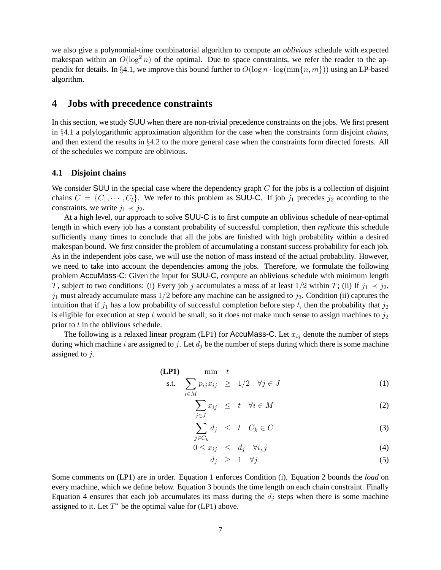we also give a polynomial-time combinatorial algorithm to compute an *oblivious* schedule with expected makespan within an  $O(\log^2 n)$  of the optimal. Due to space constraints, we refer the reader to the appendix for details. In §4.1, we improve this bound further to  $O(\log n \cdot \log(\min\{n, m\}))$  using an LP-based algorithm.

### **4 Jobs with precedence constraints**

In this section, we study SUU when there are non-trivial precedence constraints on the jobs. We first present in §4.1 a polylogarithmic approximation algorithm for the case when the constraints form disjoint *chains*, and then extend the results in §4.2 to the more general case when the constraints form directed forests. All of the schedules we compute are oblivious.

#### **4.1 Disjoint chains**

We consider SUU in the special case where the dependency graph  $C$  for the jobs is a collection of disjoint chains  $C = \{C_1, \dots, C_l\}$ . We refer to this problem as SUU-C. If job  $j_1$  precedes  $j_2$  according to the constraints, we write  $j_1 \prec j_2$ .

At a high level, our approach to solve SUU-C is to first compute an oblivious schedule of near-optimal length in which every job has a constant probability of successful completion, then *replicate* this schedule sufficiently many times to conclude that all the jobs are finished with high probability within a desired makespan bound. We first consider the problem of accumulating a constant success probability for each job. As in the independent jobs case, we will use the notion of mass instead of the actual probability. However, we need to take into account the dependencies among the jobs. Therefore, we formulate the following problem AccuMass-C: Given the input for SUU-C, compute an oblivious schedule with minimum length T, subject to two conditions: (i) Every job j accumulates a mass of at least  $1/2$  within T; (ii) If  $j_1 \prec j_2$ ,  $j_1$  must already accumulate mass  $1/2$  before any machine can be assigned to  $j_2$ . Condition (ii) captures the intuition that if  $j_1$  has a low probability of successful completion before step t, then the probability that  $j_2$ is eligible for execution at step t would be small; so it does not make much sense to assign machines to  $j_2$ prior to  $t$  in the oblivious schedule.

The following is a relaxed linear program (LP1) for AccuMass-C. Let  $x_{ij}$  denote the number of steps during which machine i are assigned to j. Let  $d_i$  be the number of steps during which there is some machine assigned to  $j$ .

$$
\begin{array}{llll}\n\textbf{(LP1)} & \min & t \\
\text{s.t.} & \sum_{i \in M} p_{ij} x_{ij} \geq 1/2 \quad \forall j \in J\n\end{array} \tag{1}
$$

$$
\sum_{j \in J} x_{ij} \leq t \quad \forall i \in M \tag{2}
$$

$$
\sum_{j \in C_k} d_j \leq t \quad C_k \in C \tag{3}
$$

$$
0 \le x_{ij} \le d_j \quad \forall i, j \tag{4}
$$

$$
d_j \geq 1 \quad \forall j \tag{5}
$$

Some comments on (LP1) are in order. Equation 1 enforces Condition (i). Equation 2 bounds the *load* on every machine, which we define below. Equation 3 bounds the time length on each chain constraint. Finally Equation 4 ensures that each job accumulates its mass during the  $d_i$  steps when there is some machine assigned to it. Let  $T^*$  be the optimal value for (LP1) above.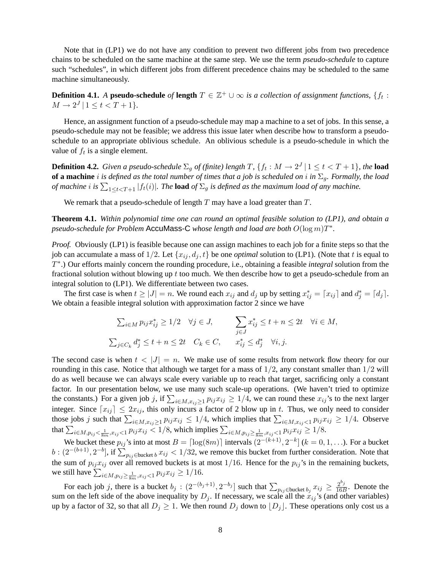Note that in (LP1) we do not have any condition to prevent two different jobs from two precedence chains to be scheduled on the same machine at the same step. We use the term *pseudo-schedule* to capture such "schedules", in which different jobs from different precedence chains may be scheduled to the same machine simultaneously.

**Definition 4.1.** *A* **pseudo-schedule** *of* **length**  $T \in \mathbb{Z}^+ \cup \infty$  *is a collection of assignment functions,*  $\{f_t:$  $M \to 2^J | 1 \le t < T + 1$ *}*.

Hence, an assignment function of a pseudo-schedule may map a machine to a set of jobs. In this sense, a pseudo-schedule may not be feasible; we address this issue later when describe how to transform a pseudoschedule to an appropriate oblivious schedule. An oblivious schedule is a pseudo-schedule in which the value of  $f_t$  is a single element.

**Definition 4.2.** *Given a pseudo-schedule*  $\Sigma_g$  *of (finite) length* T,  $\{f_t: M \to 2^J \mid 1 \leq t < T + 1\}$ , the **load of a machine** i *is defined as the total number of times that a job is scheduled on* i *in* Σg*. Formally, the load of machine i* is  $\sum_{1 \leq t < T+1} |f_t(i)|$ . The load *of*  $\Sigma_g$  *is defined as the maximum load of any machine.* 

We remark that a pseudo-schedule of length  $T$  may have a load greater than  $T$ .

**Theorem 4.1.** *Within polynomial time one can round an optimal feasible solution to (LP1), and obtain a pseudo-schedule for Problem* AccuMass-C *whose length and load are both* O(log m)T ∗ *.*

*Proof.* Obviously (LP1) is feasible because one can assign machines to each job for a finite steps so that the job can accumulate a mass of 1/2. Let  $\{x_{i_j}, d_j, t\}$  be one *optimal* solution to (LP1). (Note that t is equal to T ∗ .) Our efforts mainly concern the rounding procedure, i.e., obtaining a feasible *integral* solution from the fractional solution without blowing up  $t$  too much. We then describe how to get a pseudo-schedule from an integral solution to (LP1). We differentiate between two cases.

The first case is when  $t \ge |J| = n$ . We round each  $x_{ij}$  and  $d_j$  up by setting  $x_{ij}^* = [x_{ij}]$  and  $d_j^* = [d_j]$ . We obtain a feasible integral solution with approximation factor 2 since we have

$$
\sum_{i \in M} p_{ij} x_{ij}^* \ge 1/2 \quad \forall j \in J, \qquad \sum_{j \in J} x_{ij}^* \le t + n \le 2t \quad \forall i \in M,
$$
  

$$
\sum_{j \in C_k} d_j^* \le t + n \le 2t \quad C_k \in C, \qquad x_{ij}^* \le d_j^* \quad \forall i, j.
$$

The second case is when  $t < |J| = n$ . We make use of some results from network flow theory for our rounding in this case. Notice that although we target for a mass of  $1/2$ , any constant smaller than  $1/2$  will do as well because we can always scale every variable up to reach that target, sacrificing only a constant factor. In our presentation below, we use many such scale-up operations. (We haven't tried to optimize the constants.) For a given job j, if  $\sum_{i \in M, x_{ij} \ge 1} p_{ij} x_{ij} \ge 1/4$ , we can round these  $x_{ij}$ 's to the next larger integer. Since  $[x_{ij}] \leq 2x_{ij}$ , this only incurs a factor of 2 blow up in t. Thus, we only need to consider those jobs j such that  $\sum_{i \in M, x_{ij} \ge 1} p_{ij} x_{ij} \le 1/4$ , which implies that  $\sum_{i \in M, x_{ij} < 1} p_{ij} x_{ij} \ge 1/4$ . Observe that  $\sum_{i \in M, p_{ij} < \frac{1}{8m}, x_{ij} < 1} p_{ij} x_{ij} < 1/8$ , which implies  $\sum_{i \in M, p_{ij} \ge \frac{1}{8m}, x_{ij} < 1} p_{ij} x_{ij} \ge 1/8$ .

We bucket these  $p_{ij}$ 's into at most  $B = \lceil \log(8m) \rceil$  intervals  $\left(2^{-(k+1)}, 2^{-k}\right]$   $(k = 0, 1, \ldots)$ . For a bucket  $b: (2^{-(b+1)}, 2^{-b}]$ , if  $\sum_{p_{ij}\in \text{bucket }b} x_{ij} < 1/32$ , we remove this bucket from further consideration. Note that the sum of  $p_{ij}x_{ij}$  over all removed buckets is at most 1/16. Hence for the  $p_{ij}$ 's in the remaining buckets, we still have  $\sum_{i \in M, p_{ij} \ge \frac{1}{8m}, x_{ij} < 1} p_{ij} x_{ij} \ge 1/16$ .

For each job j, there is a bucket  $b_j$ :  $(2^{-(b_j+1)}, 2^{-b_j}]$  such that  $\sum_{p_{ij}\in \text{bucket }b_j} x_{ij} \ge \frac{2^{b_j}}{16B}$  $\frac{2^{2}j}{16B}$ . Denote the sum on the left side of the above inequality by  $D_j$ . If necessary, we scale all the  $x_{ij}$ 's (and other variables) up by a factor of 32, so that all  $D_j \geq 1$ . We then round  $D_j$  down to  $[D_j]$ . These operations only cost us a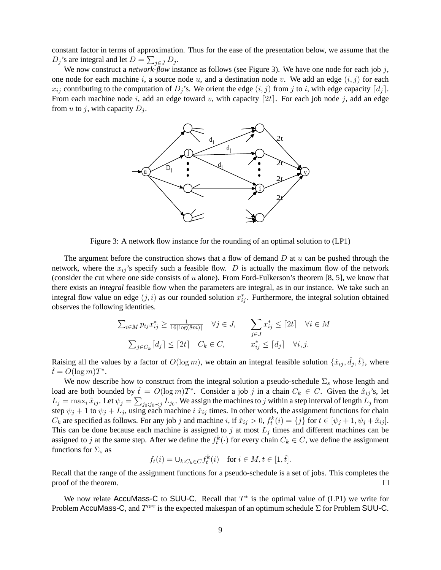constant factor in terms of approximation. Thus for the ease of the presentation below, we assume that the  $D_j$ 's are integral and let  $D = \sum_{j \in J} D_j$ .

We now construct a *network-flow* instance as follows (see Figure 3). We have one node for each job j, one node for each machine i, a source node u, and a destination node v. We add an edge  $(i, j)$  for each  $x_{ij}$  contributing to the computation of  $D_j$ 's. We orient the edge  $(i, j)$  from j to i, with edge capacity  $\lfloor d_j \rfloor$ . From each machine node i, add an edge toward v, with capacity [2t]. For each job node j, add an edge from u to j, with capacity  $D_i$ .



Figure 3: A network flow instance for the rounding of an optimal solution to (LP1)

The argument before the construction shows that a flow of demand  $D$  at  $u$  can be pushed through the network, where the  $x_{ij}$ 's specify such a feasible flow. D is actually the maximum flow of the network (consider the cut where one side consists of  $u$  alone). From Ford-Fulkerson's theorem [8, 5], we know that there exists an *integral* feasible flow when the parameters are integral, as in our instance. We take such an integral flow value on edge  $(j, i)$  as our rounded solution  $x_{ij}^*$ . Furthermore, the integral solution obtained observes the following identities.

$$
\sum_{i \in M} p_{ij} x_{ij}^* \ge \frac{1}{16 \lceil \log(8m) \rceil} \quad \forall j \in J, \qquad \sum_{j \in J} x_{ij}^* \le \lceil 2t \rceil \quad \forall i \in M
$$

$$
\sum_{j \in C_k} \lceil d_j \rceil \le \lceil 2t \rceil \quad C_k \in C, \qquad x_{ij}^* \le \lceil d_j \rceil \quad \forall i, j.
$$

Raising all the values by a factor of  $O(\log m)$ , we obtain an integral feasible solution  $\{\hat{x}_{ij}, \hat{d}_j, \hat{t}\}$ , where  $\hat{t} = O(\log m)T^*$ .

We now describe how to construct from the integral solution a pseudo-schedule  $\Sigma_s$  whose length and load are both bounded by  $\hat{t} = O(\log m)T^*$ . Consider a job j in a chain  $C_k \in C$ . Given the  $\hat{x}_{ij}$ 's, let  $L_j = \max_i \hat{x}_{ij}$ . Let  $\psi_j = \sum_{j_0: j_0 \prec j} L_{j_0}$ . We assign the machines to  $j$  within a step interval of length  $L_j$  from step  $\psi_j + 1$  to  $\psi_j + L_j$ , using each machine i  $\hat{x}_{ij}$  times. In other words, the assignment functions for chain  $C_k$  are specified as follows. For any job j and machine i, if  $\hat{x}_{ij} > 0$ ,  $f_t^k(i) = \{j\}$  for  $t \in [\psi_j + 1, \psi_j + \hat{x}_{ij}]$ . This can be done because each machine is assigned to  $j$  at most  $L_j$  times and different machines can be assigned to j at the same step. After we define the  $f_t^k(\cdot)$  for every chain  $C_k \in C$ , we define the assignment functions for  $\Sigma_s$  as

$$
f_t(i) = \cup_{k:C_k \in C} f_t^k(i) \quad \text{for } i \in M, t \in [1, \hat{t}].
$$

Recall that the range of the assignment functions for a pseudo-schedule is a set of jobs. This completes the proof of the theorem.  $\Box$ 

We now relate AccuMass-C to SUU-C. Recall that  $T^*$  is the optimal value of (LP1) we write for Problem AccuMass-C, and  $T^{OPT}$  is the expected makespan of an optimum schedule  $\Sigma$  for Problem SUU-C.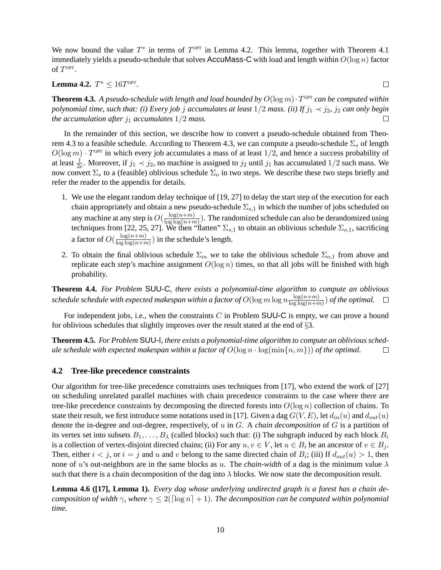We now bound the value  $T^*$  in terms of  $T^{OPT}$  in Lemma 4.2. This lemma, together with Theorem 4.1 immediately yields a pseudo-schedule that solves AccuMass-C with load and length within  $O(\log n)$  factor of  $T^{\text{OPT}}$ .

 $\Box$ 

**Lemma 4.2.**  $T^* \le 16T^{OPT}$ .

**Theorem 4.3.** A pseudo-schedule with length and load bounded by  $O(\log m) \cdot T^{OPT}$  can be computed within *polynomial time, such that: (i) Every job j accumulates at least*  $1/2$  *mass. (ii) If*  $j_1 \prec j_2$ *, j<sub>2</sub> can only begin the accumulation after*  $j_1$  *accumulates*  $1/2$  *mass.*  $\Box$ 

In the remainder of this section, we describe how to convert a pseudo-schedule obtained from Theorem 4.3 to a feasible schedule. According to Theorem 4.3, we can compute a pseudo-schedule  $\Sigma_s$  of length  $O(\log m) \cdot T^{\text{OPT}}$  in which every job accumulates a mass of at least  $1/2$ , and hence a success probability of at least  $\frac{1}{2e}$ . Moreover, if  $j_1 \prec j_2$ , no machine is assigned to  $j_2$  until  $j_1$  has accumulated  $1/2$  such mass. We now convert  $\Sigma_s$  to a (feasible) oblivious schedule  $\Sigma_o$  in two steps. We describe these two steps briefly and refer the reader to the appendix for details.

- 1. We use the elegant random delay technique of [19, 27] to delay the start step of the execution for each chain appropriately and obtain a new pseudo-schedule  $\Sigma_{s,1}$  in which the number of jobs scheduled on any machine at any step is  $O(\frac{\log(n+m)}{\log\log(n+m)})$  $\frac{\log(n+m)}{\log\log(n+m)}$ ). The randomized schedule can also be derandomized using techniques from [22, 25, 27]. We then "flatten"  $\Sigma_{s,1}$  to obtain an oblivious schedule  $\Sigma_{o,1}$ , sacrificing a factor of  $O(\frac{\log(n+m)}{\log\log(n+m)})$  $\frac{\log(n+m)}{\log\log(n+m)}$ ) in the schedule's length.
- 2. To obtain the final oblivious schedule  $\Sigma_o$ , we to take the oblivious schedule  $\Sigma_{o,1}$  from above and replicate each step's machine assignment  $O(\log n)$  times, so that all jobs will be finished with high probability.

**Theorem 4.4.** *For Problem* SUU-C*, there exists a polynomial-time algorithm to compute an oblivious* schedule schedule with expected makespan within a factor of  $O(\log m \log n \frac{\log(n+m)}{\log\log(n+m)})$  $\frac{\log(n+m)}{\log\log(n+m)}$ ) of the optimal.

For independent jobs, i.e., when the constraints  $C$  in Problem SUU-C is empty, we can prove a bound for oblivious schedules that slightly improves over the result stated at the end of §3.

**Theorem 4.5.** *For Problem* SUU-I*, there exists a polynomial-time algorithm to compute an oblivious schedule schedule with expected makespan within a factor of*  $O(\log n \cdot \log(\min\{n, m\}))$  *of the optimal.*  $\Box$ 

#### **4.2 Tree-like precedence constraints**

Our algorithm for tree-like precedence constraints uses techniques from [17], who extend the work of [27] on scheduling unrelated parallel machines with chain precedence constraints to the case where there are tree-like precedence constraints by decomposing the directed forests into  $O(\log n)$  collection of chains. To state their result, we first introduce some notations used in [17]. Given a dag  $G(V, E)$ , let  $d_{in}(u)$  and  $d_{out}(u)$ denote the in-degree and out-degree, respectively, of u in G. A *chain decomposition* of G is a partition of its vertex set into subsets  $B_1, \ldots, B_\lambda$  (called blocks) such that: (i) The subgraph induced by each block  $B_i$ is a collection of vertex-disjoint directed chains; (ii) For any  $u, v \in V$ , let  $u \in B_i$  be an ancestor of  $v \in B_j$ . Then, either  $i < j$ , or  $i = j$  and u and v belong to the same directed chain of  $B_i$ ; (iii) If  $d_{out}(u) > 1$ , then none of u's out-neighbors are in the same blocks as u. The *chain-width* of a dag is the minimum value  $\lambda$ such that there is a chain decomposition of the dag into  $\lambda$  blocks. We now state the decomposition result.

**Lemma 4.6 ([17], Lemma 1).** *Every dag whose underlying undirected graph is a forest has a chain decomposition of width*  $\gamma$ *, where*  $\gamma \leq 2(\lceil \log n \rceil + 1)$ *. The decomposition can be computed within polynomial time.*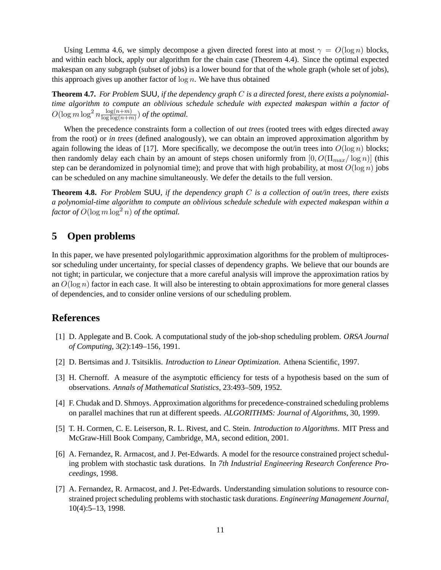Using Lemma 4.6, we simply decompose a given directed forest into at most  $\gamma = O(\log n)$  blocks, and within each block, apply our algorithm for the chain case (Theorem 4.4). Since the optimal expected makespan on any subgraph (subset of jobs) is a lower bound for that of the whole graph (whole set of jobs), this approach gives up another factor of  $\log n$ . We have thus obtained

**Theorem 4.7.** *For Problem* SUU*, if the dependency graph* C *is a directed forest, there exists a polynomialtime algorithm to compute an oblivious schedule schedule with expected makespan within a factor of*  $O(\log m \log^2 n \frac{\log(n+m)}{\log\log(n+m)})$  $\frac{\log(n+m)}{\log\log(n+m)}$  of the optimal.

When the precedence constraints form a collection of *out trees* (rooted trees with edges directed away from the root) or *in trees* (defined analogously), we can obtain an improved approximation algorithm by again following the ideas of [17]. More specifically, we decompose the out/in trees into  $O(\log n)$  blocks; then randomly delay each chain by an amount of steps chosen uniformly from  $[0, O(\Pi_{max}/\log n)]$  (this step can be derandomized in polynomial time); and prove that with high probability, at most  $O(\log n)$  jobs can be scheduled on any machine simultaneously. We defer the details to the full version.

**Theorem 4.8.** *For Problem* SUU*, if the dependency graph* C *is a collection of out/in trees, there exists a polynomial-time algorithm to compute an oblivious schedule schedule with expected makespan within a factor of*  $O(\log m \log^2 n)$  *of the optimal.* 

# **5 Open problems**

In this paper, we have presented polylogarithmic approximation algorithms for the problem of multiprocessor scheduling under uncertainty, for special classes of dependency graphs. We believe that our bounds are not tight; in particular, we conjecture that a more careful analysis will improve the approximation ratios by an  $O(\log n)$  factor in each case. It will also be interesting to obtain approximations for more general classes of dependencies, and to consider online versions of our scheduling problem.

### **References**

- [1] D. Applegate and B. Cook. A computational study of the job-shop scheduling problem. *ORSA Journal of Computing*, 3(2):149–156, 1991.
- [2] D. Bertsimas and J. Tsitsiklis. *Introduction to Linear Optimization*. Athena Scientific, 1997.
- [3] H. Chernoff. A measure of the asymptotic efficiency for tests of a hypothesis based on the sum of observations. *Annals of Mathematical Statistics*, 23:493–509, 1952.
- [4] F. Chudak and D. Shmoys. Approximation algorithms for precedence-constrained scheduling problems on parallel machines that run at different speeds. *ALGORITHMS: Journal of Algorithms*, 30, 1999.
- [5] T. H. Cormen, C. E. Leiserson, R. L. Rivest, and C. Stein. *Introduction to Algorithms*. MIT Press and McGraw-Hill Book Company, Cambridge, MA, second edition, 2001.
- [6] A. Fernandez, R. Armacost, and J. Pet-Edwards. A model for the resource constrained project scheduling problem with stochastic task durations. In *7th Industrial Engineering Research Conference Proceedings*, 1998.
- [7] A. Fernandez, R. Armacost, and J. Pet-Edwards. Understanding simulation solutions to resource constrained project scheduling problems with stochastic task durations. *Engineering Management Journal*, 10(4):5–13, 1998.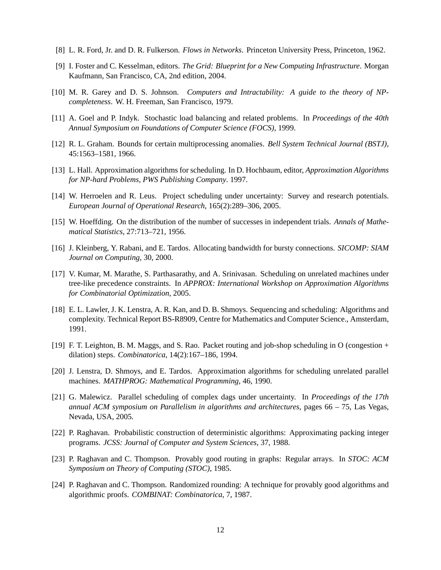- [8] L. R. Ford, Jr. and D. R. Fulkerson. *Flows in Networks*. Princeton University Press, Princeton, 1962.
- [9] I. Foster and C. Kesselman, editors. *The Grid: Blueprint for a New Computing Infrastructure*. Morgan Kaufmann, San Francisco, CA, 2nd edition, 2004.
- [10] M. R. Garey and D. S. Johnson. *Computers and Intractability: A guide to the theory of NPcompleteness*. W. H. Freeman, San Francisco, 1979.
- [11] A. Goel and P. Indyk. Stochastic load balancing and related problems. In *Proceedings of the 40th Annual Symposium on Foundations of Computer Science (FOCS)*, 1999.
- [12] R. L. Graham. Bounds for certain multiprocessing anomalies. *Bell System Technical Journal (BSTJ)*, 45:1563–1581, 1966.
- [13] L. Hall. Approximation algorithms for scheduling. In D. Hochbaum, editor, *Approximation Algorithms for NP-hard Problems, PWS Publishing Company*. 1997.
- [14] W. Herroelen and R. Leus. Project scheduling under uncertainty: Survey and research potentials. *European Journal of Operational Research*, 165(2):289–306, 2005.
- [15] W. Hoeffding. On the distribution of the number of successes in independent trials. *Annals of Mathematical Statistics*, 27:713–721, 1956.
- [16] J. Kleinberg, Y. Rabani, and E. Tardos. Allocating bandwidth for bursty connections. *SICOMP: SIAM Journal on Computing*, 30, 2000.
- [17] V. Kumar, M. Marathe, S. Parthasarathy, and A. Srinivasan. Scheduling on unrelated machines under tree-like precedence constraints. In *APPROX: International Workshop on Approximation Algorithms for Combinatorial Optimization*, 2005.
- [18] E. L. Lawler, J. K. Lenstra, A. R. Kan, and D. B. Shmoys. Sequencing and scheduling: Algorithms and complexity. Technical Report BS-R8909, Centre for Mathematics and Computer Science., Amsterdam, 1991.
- [19] F. T. Leighton, B. M. Maggs, and S. Rao. Packet routing and job-shop scheduling in O (congestion + dilation) steps. *Combinatorica*, 14(2):167–186, 1994.
- [20] J. Lenstra, D. Shmoys, and E. Tardos. Approximation algorithms for scheduling unrelated parallel machines. *MATHPROG: Mathematical Programming*, 46, 1990.
- [21] G. Malewicz. Parallel scheduling of complex dags under uncertainty. In *Proceedings of the 17th annual ACM symposium on Parallelism in algorithms and architectures*, pages 66 – 75, Las Vegas, Nevada, USA, 2005.
- [22] P. Raghavan. Probabilistic construction of deterministic algorithms: Approximating packing integer programs. *JCSS: Journal of Computer and System Sciences*, 37, 1988.
- [23] P. Raghavan and C. Thompson. Provably good routing in graphs: Regular arrays. In *STOC: ACM Symposium on Theory of Computing (STOC)*, 1985.
- [24] P. Raghavan and C. Thompson. Randomized rounding: A technique for provably good algorithms and algorithmic proofs. *COMBINAT: Combinatorica*, 7, 1987.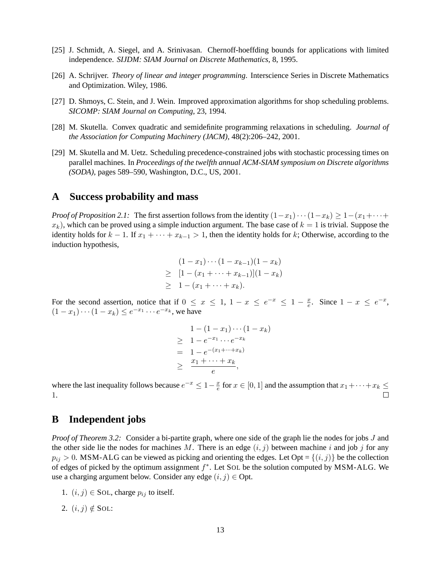- [25] J. Schmidt, A. Siegel, and A. Srinivasan. Chernoff-hoeffding bounds for applications with limited independence. *SIJDM: SIAM Journal on Discrete Mathematics*, 8, 1995.
- [26] A. Schrijver. *Theory of linear and integer programming*. Interscience Series in Discrete Mathematics and Optimization. Wiley, 1986.
- [27] D. Shmoys, C. Stein, and J. Wein. Improved approximation algorithms for shop scheduling problems. *SICOMP: SIAM Journal on Computing*, 23, 1994.
- [28] M. Skutella. Convex quadratic and semidefinite programming relaxations in scheduling. *Journal of the Association for Computing Machinery (JACM)*, 48(2):206–242, 2001.
- [29] M. Skutella and M. Uetz. Scheduling precedence-constrained jobs with stochastic processing times on parallel machines. In *Proceedings of the twelfth annual ACM-SIAM symposium on Discrete algorithms (SODA)*, pages 589–590, Washington, D.C., US, 2001.

#### **A Success probability and mass**

*Proof of Proposition 2.1:* The first assertion follows from the identity  $(1-x_1)\cdots(1-x_k) \geq 1-(x_1+\cdots+x_k)$  $x_k$ ), which can be proved using a simple induction argument. The base case of  $k = 1$  is trivial. Suppose the identity holds for  $k - 1$ . If  $x_1 + \cdots + x_{k-1} > 1$ , then the identity holds for k; Otherwise, according to the induction hypothesis,

$$
(1 - x_1) \cdots (1 - x_{k-1})(1 - x_k)
$$
  
\n
$$
\geq [1 - (x_1 + \cdots + x_{k-1})](1 - x_k)
$$
  
\n
$$
\geq 1 - (x_1 + \cdots + x_k).
$$

For the second assertion, notice that if  $0 \le x \le 1$ ,  $1 - x \le e^{-x} \le 1 - \frac{x}{e}$  $\frac{x}{e}$ . Since  $1-x \leq e^{-x}$ ,  $(1-x_1)\cdots(1-x_k) \leq e^{-x_1}\cdots e^{-x_k}$ , we have

$$
1 - (1 - x_1) \cdots (1 - x_k)
$$
  
\n
$$
\geq 1 - e^{-x_1} \cdots e^{-x_k}
$$
  
\n
$$
= 1 - e^{-(x_1 + \cdots + x_k)}
$$
  
\n
$$
\geq \frac{x_1 + \cdots + x_k}{e},
$$

where the last inequality follows because  $e^{-x} \leq 1 - \frac{x}{e}$  $\frac{x}{e}$  for  $x \in [0, 1]$  and the assumption that  $x_1 + \cdots + x_k \le$ 1.

### **B Independent jobs**

*Proof of Theorem 3.2:* Consider a bi-partite graph, where one side of the graph lie the nodes for jobs J and the other side lie the nodes for machines M. There is an edge  $(i, j)$  between machine i and job j for any  $p_{ij} > 0$ . MSM-ALG can be viewed as picking and orienting the edges. Let Opt =  $\{(i, j)\}$  be the collection of edges of picked by the optimum assignment  $f^*$ . Let SOL be the solution computed by MSM-ALG. We use a charging argument below. Consider any edge  $(i, j) \in$  Opt.

- 1.  $(i, j) \in$  SOL, charge  $p_{ij}$  to itself.
- 2.  $(i, j) \notin$  SOL: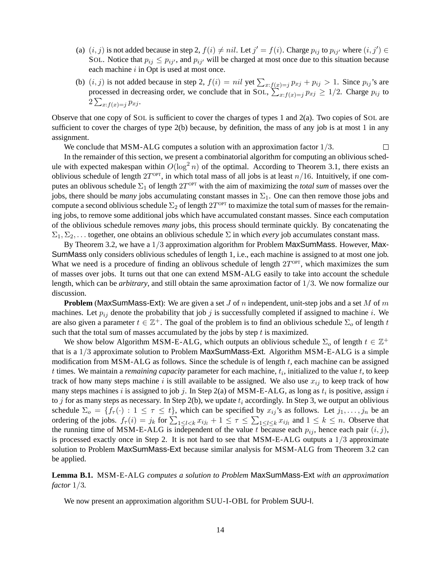- (a)  $(i, j)$  is not added because in step 2,  $f(i) \neq nil$ . Let  $j' = f(i)$ . Charge  $p_{ij}$  to  $p_{ij'}$  where  $(i, j') \in$ SOL. Notice that  $p_{ij} \leq p_{ij'}$ , and  $p_{ij'}$  will be charged at most once due to this situation because each machine  $i$  in Opt is used at most once.
- (b)  $(i, j)$  is not added because in step 2,  $f(i) = nil$  yet  $\sum_{x : f(x) = j} p_{xj} + p_{ij} > 1$ . Since  $p_{ij}$ 's are processed in decreasing order, we conclude that in SOL,  $\sum_{x:f(x)=j}^{n} p_{xj} \geq 1/2$ . Charge  $p_{ij}$  to  $2\sum_{x:f(x)=j} p_{xj}.$

Observe that one copy of SOL is sufficient to cover the charges of types 1 and 2(a). Two copies of SOL are sufficient to cover the charges of type 2(b) because, by definition, the mass of any job is at most 1 in any assignment.

We conclude that MSM-ALG computes a solution with an approximation factor  $1/3$ .  $\Box$ 

In the remainder of this section, we present a combinatorial algorithm for computing an oblivious schedule with expected makespan within  $O(\log^2 n)$  of the optimal. According to Theorem 3.1, there exists an oblivious schedule of length  $2T^{\text{OPT}}$ , in which total mass of all jobs is at least  $n/16$ . Intuitively, if one computes an oblivous schedule  $\Sigma_1$  of length  $2T^{\text{OPT}}$  with the aim of maximizing the *total sum* of masses over the jobs, there should be *many* jobs accumulating constant masses in  $\Sigma_1$ . One can then remove those jobs and compute a second oblivious schedule  $\Sigma_2$  of length  $2T^{\text{OPT}}$  to maximize the total sum of masses for the remaining jobs, to remove some additional jobs which have accumulated constant masses. Since each computation of the oblivious schedule removes *many* jobs, this process should terminate quickly. By concatenating the  $\Sigma_1, \Sigma_2, \ldots$  together, one obtains an oblivious schedule  $\Sigma$  in which *every* job accumulates constant mass.

By Theorem 3.2, we have a 1/3 approximation algorithm for Problem MaxSumMass. However, Max-SumMass only considers oblivious schedules of length 1, i.e., each machine is assigned to at most one job. What we need is a procedure of finding an oblivous schedule of length  $2T^{\text{OPT}}$ , which maximizes the sum of masses over jobs. It turns out that one can extend MSM-ALG easily to take into account the schedule length, which can be *arbitrary*, and still obtain the same aproximation factor of 1/3. We now formalize our discussion.

**Problem** (MaxSumMass-Ext): We are given a set J of n independent, unit-step jobs and a set M of m machines. Let  $p_{ij}$  denote the probability that job j is successfully completed if assigned to machine i. We are also given a parameter  $t \in \mathbb{Z}^+$ . The goal of the problem is to find an oblivious schedule  $\Sigma_o$  of length  $t$ such that the total sum of masses accumulated by the jobs by step  $t$  is maximized.

We show below Algorithm MSM-E-ALG, which outputs an oblivious schedule  $\Sigma_o$  of length  $t \in \mathbb{Z}^+$ that is a 1/3 approximate solution to Problem MaxSumMass-Ext. Algorithm MSM-E-ALG is a simple modification from MSM-ALG as follows. Since the schedule is of length  $t$ , each machine can be assigned  $t$  times. We maintain a *remaining capacity* parameter for each machine,  $t_i$ , initialized to the value  $t$ , to keep track of how many steps machine i is still available to be assigned. We also use  $x_{ij}$  to keep track of how many steps machines i is assigned to job j. In Step 2(a) of MSM-E-ALG, as long as  $t_i$  is positive, assign i to j for as many steps as necessary. In Step 2(b), we update  $t_i$  accordingly. In Step 3, we output an oblivious schedule  $\Sigma_o = \{f_\tau(\cdot) : 1 \leq \tau \leq t\}$ , which can be specified by  $x_{ij}$ 's as follows. Let  $j_1, \ldots, j_n$  be an ordering of the jobs.  $f_{\tau}(i) = j_k$  for  $\sum_{1 \leq l < k} x_{ij_l} + 1 \leq \tau \leq \sum_{1 \leq l \leq k} x_{ij_l}$  and  $1 \leq k \leq n$ . Observe that the running time of MSM-E-ALG is independent of the value t because each  $p_{ij}$ , hence each pair  $(i, j)$ , is processed exactly once in Step 2. It is not hard to see that MSM-E-ALG outputs a  $1/3$  approximate solution to Problem MaxSumMass-Ext because similar analysis for MSM-ALG from Theorem 3.2 can be applied.

**Lemma B.1.** MSM-E-ALG *computes a solution to Problem* MaxSumMass-Ext *with an approximation factor* 1/3*.*

We now present an approximation algorithm SUU-I-OBL for Problem SUU-I.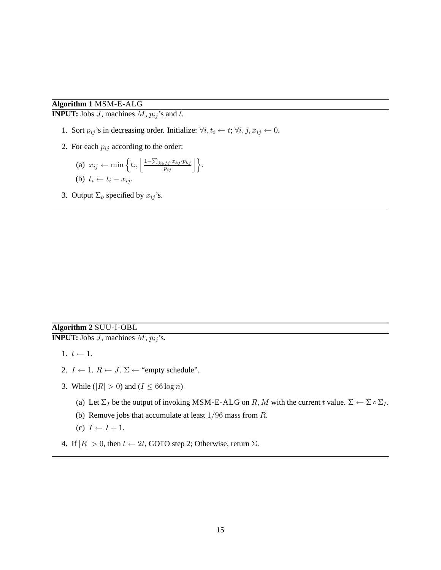### **Algorithm 1** MSM-E-ALG

**INPUT:** Jobs  $J$ , machines  $M$ ,  $p_{ij}$ 's and  $t$ .

- 1. Sort  $p_{ij}$ 's in decreasing order. Initialize:  $\forall i, t_i \leftarrow t; \forall i, j, x_{ij} \leftarrow 0$ .
- 2. For each  $p_{ij}$  according to the order:

(a) 
$$
x_{ij} \leftarrow \min \left\{ t_i, \left\lfloor \frac{1 - \sum_{k \in M} x_{kj} \cdot p_{kj}}{p_{ij}} \right\rfloor \right\}.
$$
  
(b)  $t_i \leftarrow t_i - x_{ij}.$ 

3. Output  $\Sigma_o$  specified by  $x_{ij}$ 's.

### **Algorithm 2** SUU-I-OBL **INPUT:** Jobs  $J$ , machines  $M$ ,  $p_{ij}$ 's.

- 1.  $t \leftarrow 1$ .
- 2.  $I \leftarrow 1$ .  $R \leftarrow J$ .  $\Sigma \leftarrow$  "empty schedule".
- 3. While ( $|R| > 0$ ) and ( $I \le 66 \log n$ )
	- (a) Let  $\Sigma_I$  be the output of invoking MSM-E-ALG on R, M with the current t value.  $\Sigma \leftarrow \Sigma \circ \Sigma_I$ .
	- (b) Remove jobs that accumulate at least  $1/96$  mass from  $R$ .
	- (c)  $I \leftarrow I + 1$ .
- 4. If  $|R| > 0$ , then  $t \leftarrow 2t$ , GOTO step 2; Otherwise, return  $\Sigma$ .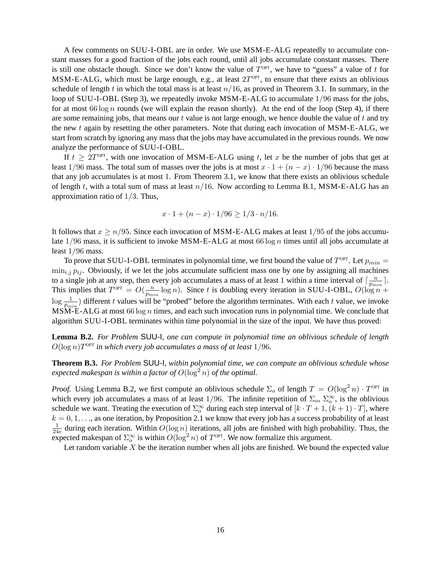A few comments on SUU-I-OBL are in order. We use MSM-E-ALG repeatedly to accumulate constant masses for a good fraction of the jobs each round, until all jobs accumulate constant masses. There is still one obstacle though. Since we don't know the value of  $T^{OPT}$ , we have to "guess" a value of t for MSM-E-ALG, which must be large enough, e.g., at least  $2T^{\text{OPT}}$ , to ensure that there *exists* an oblivious schedule of length t in which the total mass is at least  $n/16$ , as proved in Theorem 3.1. In summary, in the loop of SUU-I-OBL (Step 3), we repeatedly invoke MSM-E-ALG to accumulate  $1/96$  mass for the jobs, for at most 66 log n rounds (we will explain the reason shortly). At the end of the loop (Step 4), if there are some remaining jobs, that means our  $t$  value is not large enough, we hence double the value of  $t$  and try the new t again by resetting the other parameters. Note that during each invocation of MSM-E-ALG, we start from scratch by ignoring any mass that the jobs may have accumulated in the previous rounds. We now analyze the performance of SUU-I-OBL.

If  $t \geq 2T^{\text{OPT}}$ , with one invocation of MSM-E-ALG using t, let x be the number of jobs that get at least 1/96 mass. The total sum of masses over the jobs is at most  $x \cdot 1 + (n - x) \cdot 1/96$  because the mass that any job accumulates is at most 1. From Theorem 3.1, we know that there exists an oblivious schedule of length t, with a total sum of mass at least  $n/16$ . Now according to Lemma B.1, MSM-E-ALG has an approximation ratio of  $1/3$ . Thus,

$$
x \cdot 1 + (n - x) \cdot 1/96 \ge 1/3 \cdot n/16.
$$

It follows that  $x \ge n/95$ . Since each invocation of MSM-E-ALG makes at least 1/95 of the jobs accumulate  $1/96$  mass, it is sufficient to invoke MSM-E-ALG at most 66 log n times until all jobs accumulate at least 1/96 mass.

To prove that SUU-I-OBL terminates in polynomial time, we first bound the value of  $T^{\text{OPT}}$ . Let  $p_{min} =$  $\min_{i,j} p_{ij}$ . Obviously, if we let the jobs accumulate sufficient mass one by one by assigning all machines to a single job at any step, then every job accumulates a mass of at least 1 within a time interval of  $\left\lceil \frac{n}{n} \right\rceil$  $\frac{n}{p_{min}}$ . This implies that  $T^{\text{OPT}} = O(\frac{n}{n})$  $\frac{n}{p_{min}} \log n$ ). Since t is doubling every iteration in SUU-I-OBL,  $O(\log n +$  $\log \frac{1}{p_{min}}$ ) different t values will be "probed" before the algorithm terminates. With each t value, we invoke  $MSM-E-ALG$  at most 66 log *n* times, and each such invocation runs in polynomial time. We conclude that algorithm SUU-I-OBL terminates within time polynomial in the size of the input. We have thus proved:

**Lemma B.2.** *For Problem* SUU-I*, one can compute in polynomial time an oblivious schedule of length*  $O(\log n) T^{OPT}$  *in which every job accumulates a mass of at least*  $1/96$ *.* 

**Theorem B.3.** *For Problem* SUU-I*, within polynomial time, we can compute an oblivious schedule whose expected makespan is within a factor of*  $O(\log^2 n)$  *of the optimal.* 

*Proof.* Using Lemma B.2, we first compute an oblivious schedule  $\Sigma_o$  of length  $T = O(\log^2 n) \cdot T^{\text{OPT}}$  in which every job accumulates a mass of at least 1/96. The infinite repetition of  $\Sigma_o$ ,  $\Sigma_o^{\infty}$ , is the oblivious schedule we want. Treating the execution of  $\Sigma_o^{\infty}$  during each step interval of  $[k \cdot T + 1, (k+1) \cdot T]$ , where  $k = 0, 1, \ldots$ , as one iteration, by Proposition 2.1 we know that every job has a success probability of at least 1  $\frac{1}{24e}$  during each iteration. Within  $O(\log n)$  iterations, all jobs are finished with high probability. Thus, the expected makespan of  $\Sigma_o^{\infty}$  is within  $O(log^2 n)$  of  $T^{OPT}$ . We now formalize this argument.

Let random variable  $X$  be the iteration number when all jobs are finished. We bound the expected value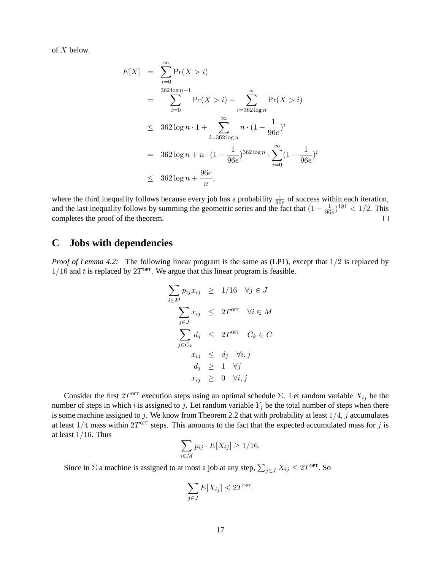of X below.

$$
E[X] = \sum_{i=0}^{\infty} \Pr(X > i)
$$
  
= 
$$
\sum_{i=0}^{362 \log n - 1} \Pr(X > i) + \sum_{i=362 \log n}^{\infty} \Pr(X > i)
$$
  

$$
\leq 362 \log n \cdot 1 + \sum_{i=362 \log n}^{\infty} n \cdot (1 - \frac{1}{96e})^i
$$
  
= 
$$
362 \log n + n \cdot (1 - \frac{1}{96e})^{362 \log n} \cdot \sum_{i=0}^{\infty} (1 - \frac{1}{96e})^i
$$
  

$$
\leq 362 \log n + \frac{96e}{n},
$$

where the third inequality follows because every job has a probability  $\frac{1}{96e}$  of success within each iteration, and the last inequality follows by summing the geometric series and the fact that  $(1 - \frac{1}{96})$  $\frac{1}{96e}$ )<sup>181</sup> < 1/2. This completes the proof of the theorem.  $\Box$ 

# **C Jobs with dependencies**

*Proof of Lemma 4.2:* The following linear program is the same as (LP1), except that  $1/2$  is replaced by  $1/16$  and t is replaced by  $2T^{\text{OPT}}$ . We argue that this linear program is feasible.

$$
\sum_{i \in M} p_{ij} x_{ij} \ge 1/16 \quad \forall j \in J
$$
\n
$$
\sum_{j \in J} x_{ij} \le 2T^{\text{OPT}} \quad \forall i \in M
$$
\n
$$
\sum_{j \in C_k} d_j \le 2T^{\text{OPT}} \quad C_k \in C
$$
\n
$$
x_{ij} \le d_j \quad \forall i, j
$$
\n
$$
d_j \ge 1 \quad \forall j
$$
\n
$$
x_{ij} \ge 0 \quad \forall i, j
$$

Consider the first  $2T^{OPT}$  execution steps using an optimal schedule  $\Sigma$ . Let random variable  $X_{ij}$  be the number of steps in which i is assigned to j. Let random variable  $Y_j$  be the total number of steps when there is some machine assigned to j. We know from Theorem 2.2 that with probability at least  $1/4$ , j accumulates at least  $1/4$  mass within  $2T^{OPT}$  steps. This amounts to the fact that the expected accumulated mass for j is at least  $1/16$ . Thus

$$
\sum_{i\in M} p_{ij} \cdot E[X_{ij}] \ge 1/16.
$$

Since in  $\Sigma$  a machine is assigned to at most a job at any step,  $\sum_{j \in J} X_{ij} \leq 2T^{\text{OPT}}$ . So

$$
\sum_{j\in J} E[X_{ij}] \leq 2T^{\text{OPT}}.
$$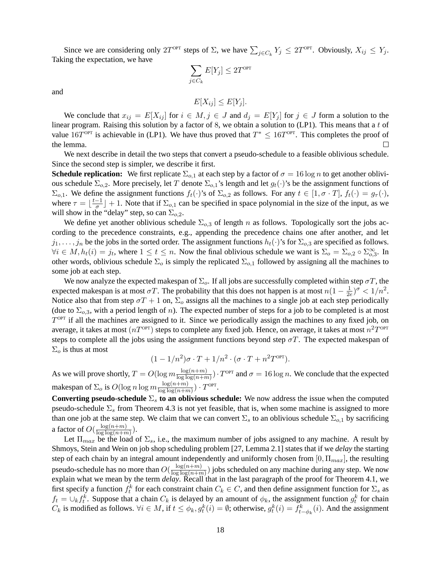Since we are considering only  $2T^{\text{OPT}}$  steps of  $\Sigma$ , we have  $\sum_{j \in C_k} Y_j \le 2T^{\text{OPT}}$ . Obviously,  $X_{ij} \le Y_j$ . Taking the expectation, we have

$$
\sum_{j \in C_k} E[Y_j] \leq 2T^{\text{OPT}}
$$

and

$$
E[X_{ij}] \leq E[Y_j].
$$

We conclude that  $x_{ij} = E[X_{ij}]$  for  $i \in M, j \in J$  and  $d_j = E[Y_j]$  for  $j \in J$  form a solution to the linear program. Raising this solution by a factor of 8, we obtain a solution to (LP1). This means that a t of value 16 $T^{\text{OPT}}$  is achievable in (LP1). We have thus proved that  $T^* \le 16T^{\text{OPT}}$ . This completes the proof of the lemma.  $\Box$ 

We next describe in detail the two steps that convert a pseudo-schedule to a feasible oblivious schedule. Since the second step is simpler, we describe it first.

**Schedule replication:** We first replicate  $\Sigma_{o,1}$  at each step by a factor of  $\sigma = 16 \log n$  to get another oblivious schedule  $\Sigma_{o,2}$ . More precisely, let T denote  $\Sigma_{o,1}$ 's length and let  $g_t(\cdot)$ 's be the assignment functions of  $\Sigma_{o,1}$ . We define the assignment functions  $f_t(\cdot)$ 's of  $\Sigma_{o,2}$  as follows. For any  $t \in [1, \sigma \cdot T]$ ,  $f_t(\cdot) = g_\tau(\cdot)$ , where  $\tau = \frac{t-1}{\sigma}$  $\frac{-1}{\sigma}$  + 1. Note that if  $\Sigma_{o,1}$  can be specified in space polynomial in the size of the input, as we will show in the "delay" step, so can  $\Sigma_{0,2}$ .

We define yet another oblivious schedule  $\Sigma_{0,3}$  of length n as follows. Topologically sort the jobs according to the precedence constraints, e.g., appending the precedence chains one after another, and let  $j_1, \ldots, j_n$  be the jobs in the sorted order. The assignment functions  $h_t(\cdot)$ 's for  $\Sigma_{o,3}$  are specified as follows.  $\forall i \in M, h_t(i) = j_t$ , where  $1 \le t \le n$ . Now the final oblivious schedule we want is  $\Sigma_0 = \Sigma_{0,2} \circ \Sigma_{0,3}^{\infty}$ . In other words, oblivious schedule  $\Sigma_o$  is simply the replicated  $\Sigma_{o,1}$  followed by assigning all the machines to some job at each step.

We now analyze the expected makespan of  $\Sigma_o$ . If all jobs are successfully completed within step  $\sigma T$ , the expected makespan is at most  $\sigma T$ . The probability that this does not happen is at most  $n(1 - \frac{1}{2\sigma^2})$  $\frac{1}{2e})^{\sigma} < 1/n^2.$ Notice also that from step  $\sigma T + 1$  on,  $\Sigma_o$  assigns all the machines to a single job at each step periodically (due to  $\Sigma_{0,3}$ , with a period length of n). The expected number of steps for a job to be completed is at most  $T^{\text{OPT}}$  if all the machines are assigned to it. Since we periodically assign the machines to any fixed job, on average, it takes at most  $(nT^{\text{OPT}})$  steps to complete any fixed job. Hence, on average, it takes at most  $n^2T^{\text{OPT}}$ steps to complete all the jobs using the assignment functions beyond step  $\sigma T$ . The expected makespan of  $\Sigma_o$  is thus at most

$$
(1 - 1/n^2)\sigma \cdot T + 1/n^2 \cdot (\sigma \cdot T + n^2 T^{\text{OPT}}).
$$

As we will prove shortly,  $T = O(\log m \frac{\log(n+m)}{\log \log(n+m)})$  $\frac{\log(n+m)}{\log\log(n+m)}$ ) ·  $T^{\text{OPT}}$  and  $\sigma = 16 \log n$ . We conclude that the expected makespan of  $\Sigma_o$  is  $O(\log n \log m \frac{\log(n+m)}{\log \log(n+m)})$  $\frac{\log(n+m)}{\log\log(n+m)}$ ) ·  $T^{\text{OPT}}$ .

**Converting pseudo-schedule**  $\Sigma_s$  **to an oblivious schedule:** We now address the issue when the computed pseudo-schedule  $\Sigma_s$  from Theorem 4.3 is not yet feasible, that is, when some machine is assigned to more than one job at the same step. We claim that we can convert  $\Sigma_s$  to an oblivious schedule  $\Sigma_{o,1}$  by sacrificing a factor of  $O(\frac{\log(n+m)}{\log\log(n+m)})$  $\frac{\log(n+m)}{\log\log(n+m)}\big).$ 

Let  $\Pi_{max}$  be the load of  $\Sigma_s$ , i.e., the maximum number of jobs assigned to any machine. A result by Shmoys, Stein and Wein on job shop scheduling problem [27, Lemma 2.1] states that if we *delay* the starting step of each chain by an integral amount independently and uniformly chosen from  $[0, \Pi_{max}]$ , the resulting pseudo-schedule has no more than  $O(\frac{\log(n+m)}{\log\log(n+m)})$  $\frac{\log(n+m)}{\log\log(n+m)}$ ) jobs scheduled on any machine during any step. We now explain what we mean by the term *delay*. Recall that in the last paragraph of the proof for Theorem 4.1, we first specify a function  $f_t^k$  for each constraint chain  $C_k \in C$ , and then define assignment function for  $\Sigma_s$  as  $f_t = \bigcup_k f_t^k$ . Suppose that a chain  $C_k$  is delayed by an amount of  $\phi_k$ , the assignment function  $g_t^k$  for chain  $C_k$  is modified as follows.  $\forall i \in M$ , if  $t \leq \phi_k$ ,  $g_t^k(i) = \emptyset$ ; otherwise,  $g_t^k(i) = f_{t-\phi_k}^k(i)$ . And the assignment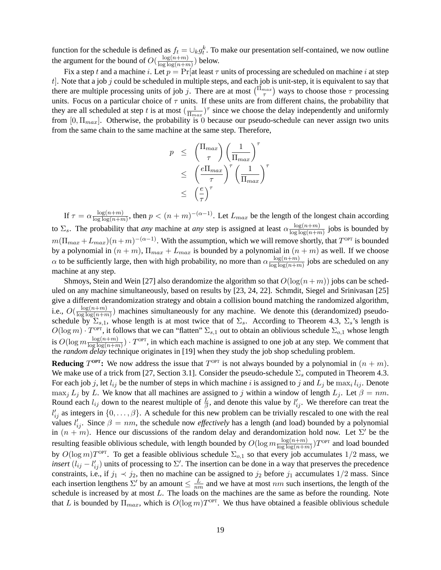function for the schedule is defined as  $f_t = \bigcup_k g_t^k$ . To make our presentation self-contained, we now outline the argument for the bound of  $O(\frac{\log(n+m)}{\log\log(n+m)})$  $\frac{\log(n+m)}{\log\log(n+m)}$ ) below.

Fix a step t and a machine i. Let  $p = Pr$  at least  $\tau$  units of processing are scheduled on machine i at step  $t$ . Note that a job j could be scheduled in multiple steps, and each job is unit-step, it is equivalent to say that there are multiple processing units of job j. There are at most  $\binom{\Pi_{max}}{\tau}$  ways to choose those  $\tau$  processing units. Focus on a particular choice of  $\tau$  units. If these units are from different chains, the probability that they are all scheduled at step t is at most  $\left(\frac{1}{\pi}\right)$  $\frac{1}{\prod_{max}}$ )<sup> $\tau$ </sup> since we choose the delay independently and uniformly from  $[0, \Pi_{max}]$ . Otherwise, the probability is 0 because our pseudo-schedule can never assign two units from the same chain to the same machine at the same step. Therefore,

$$
p \leq \left(\frac{\Pi_{max}}{\tau}\right) \left(\frac{1}{\Pi_{max}}\right)^{\tau}
$$
  
\n
$$
\leq \left(\frac{e\Pi_{max}}{\tau}\right)^{\tau} \left(\frac{1}{\Pi_{max}}\right)^{\tau}
$$
  
\n
$$
\leq \left(\frac{e}{\tau}\right)^{\tau}
$$

If  $\tau = \alpha \frac{\log(n+m)}{\log\log(n+m)}$  $\frac{\log(n+m)}{\log\log(n+m)}$ , then  $p < (n+m)^{-(\alpha-1)}$ . Let  $L_{max}$  be the length of the longest chain according to  $\Sigma_s$ . The probability that *any* machine at *any* step is assigned at least  $\alpha \frac{\log(n+m)}{\log\log(n+m)}$  $\frac{\log(n+m)}{\log\log(n+m)}$  jobs is bounded by  $m(\Pi_{max} + L_{max})(n+m)^{-(\alpha-1)}$ . With the assumption, which we will remove shortly, that  $T^{OPT}$  is bounded by a polynomial in  $(n + m)$ ,  $\Pi_{max} + L_{max}$  is bounded by a polynomial in  $(n + m)$  as well. If we choose  $\alpha$  to be sufficiently large, then with high probability, no more than  $\alpha \frac{\log(n+m)}{\log\log(n+m)}$  $\frac{\log(n+m)}{\log\log(n+m)}$  jobs are scheduled on any machine at any step.

Shmoys, Stein and Wein [27] also derandomize the algorithm so that  $O(log(n + m))$  jobs can be scheduled on any machine simultaneously, based on results by [23, 24, 22]. Schmdit, Siegel and Srinivasan [25] give a different derandomization strategy and obtain a collision bound matching the randomized algorithm, i.e.,  $O(\frac{\log(n+m)}{\log\log(n+m)})$  $\frac{\log(n+m)}{\log\log(n+m)}$ ) machines simultaneously for any machine. We denote this (derandomized) pseudoschedule by  $\Sigma_{s,1}$ , whose length is at most twice that of  $\Sigma_s$ . According to Theorem 4.3,  $\Sigma_s$ 's length is  $O(\log m) \cdot T^{\text{OPT}}$ , it follows that we can "flatten"  $\Sigma_{s,1}$  out to obtain an oblivious schedule  $\Sigma_{o,1}$  whose length is  $O(\log m \frac{\log(n+m)}{\log\log(n+m)})$  $\frac{\log(n+m)}{\log\log(n+m)}$ ) ·  $T^{\text{OPT}}$ , in which each machine is assigned to one job at any step. We comment that the *random delay* technique originates in [19] when they study the job shop scheduling problem.

**Reducing**  $T^{OPT}$ : We now address the issue that  $T^{OPT}$  is not always bounded by a polynomial in  $(n + m)$ . We make use of a trick from [27, Section 3.1]. Consider the pseudo-schedule  $\Sigma_s$  computed in Theorem 4.3. For each job j, let  $l_{ij}$  be the number of steps in which machine i is assigned to j and  $L_j$  be  $\max_i l_{ij}$ . Denote max<sub>j</sub>  $L_j$  by L. We know that all machines are assigned to j within a window of length  $L_j$ . Let  $\beta = nm$ . Round each  $l_{ij}$  down to the nearest multiple of  $\frac{L}{\beta}$ , and denote this value by  $l'_{ij}$ . We therefore can treat the  $l'_{ij}$  as integers in  $\{0,\ldots,\beta\}$ . A schedule for this new problem can be trivially rescaled to one with the real values  $l'_{ij}$ . Since  $\beta = nm$ , the schedule now *effectively* has a length (and load) bounded by a polynomial in  $(n + m)$ . Hence our discussions of the random delay and derandomization hold now. Let  $\Sigma'$  be the resulting feasible oblivious schedule, with length bounded by  $O(\log m \frac{\log(n+m)}{\log\log(n+m)})$  $\frac{\log(n+m)}{\log\log(n+m)}$ ) T<sup>opt</sup> and load bounded by  $O(\log m)T^{\text{OPT}}$ . To get a feasible oblivious schedule  $\Sigma_{o,1}$  so that every job accumulates  $1/2$  mass, we *insert*  $(l_{ij} - l'_{ij})$  units of processing to  $\Sigma'$ . The insertion can be done in a way that preserves the precedence constraints, i.e., if  $j_1 \prec j_2$ , then no machine can be assigned to  $j_2$  before  $j_1$  accumulates  $1/2$  mass. Since each insertion lengthens  $\Sigma'$  by an amount  $\leq \frac{L}{m}$  $\frac{L}{nm}$  and we have at most  $nm$  such insertions, the length of the schedule is increased by at most L. The loads on the machines are the same as before the rounding. Note that L is bounded by  $\Pi_{max}$ , which is  $O(\log m) T^{\text{OPT}}$ . We thus have obtained a feasible oblivious schedule